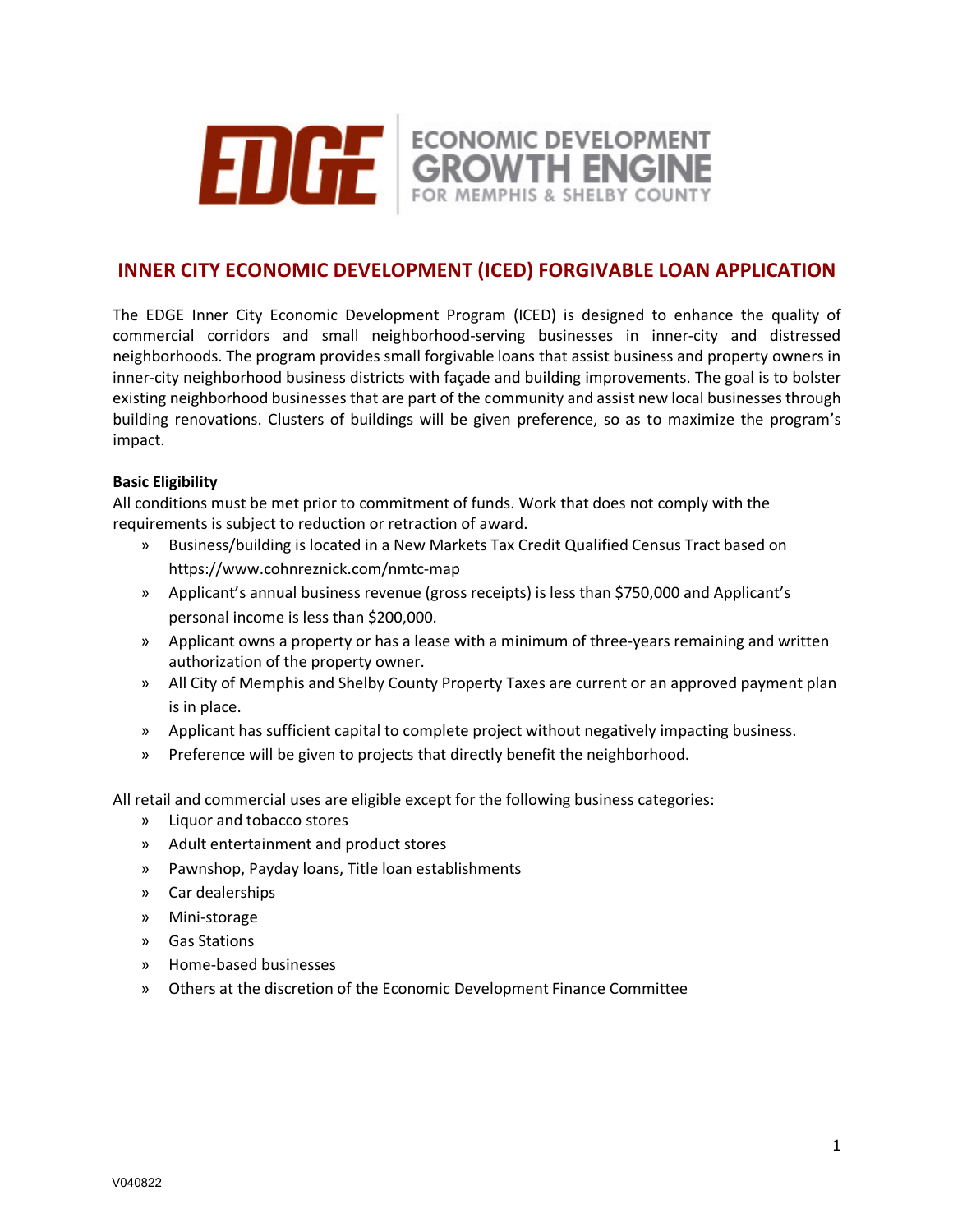

# **INNER CITY ECONOMIC DEVELOPMENT (ICED) FORGIVABLE LOAN APPLICATION**

The EDGE Inner City Economic Development Program (ICED) is designed to enhance the quality of commercial corridors and small neighborhood-serving businesses in inner-city and distressed neighborhoods. The program provides small forgivable loans that assist business and property owners in inner-city neighborhood business districts with façade and building improvements. The goal is to bolster existing neighborhood businesses that are part of the community and assist new local businesses through building renovations. Clusters of buildings will be given preference, so as to maximize the program's impact.

#### **Basic Eligibility**

All conditions must be met prior to commitment of funds. Work that does not comply with the requirements is subject to reduction or retraction of award.

- » Business/building is located in a New Markets Tax Credit Qualified Census Tract based on https://www.cohnreznick.com/nmtc-map
- » Applicant's annual business revenue (gross receipts) is less than \$750,000 and Applicant's personal income is less than \$200,000.
- » Applicant owns a property or has a lease with a minimum of three-years remaining and written authorization of the property owner.
- » All City of Memphis and Shelby County Property Taxes are current or an approved payment plan is in place.
- » Applicant has sufficient capital to complete project without negatively impacting business.
- » Preference will be given to projects that directly benefit the neighborhood.

All retail and commercial uses are eligible except for the following business categories:

- » Liquor and tobacco stores
- » Adult entertainment and product stores
- » Pawnshop, Payday loans, Title loan establishments
- » Car dealerships
- » Mini-storage
- » Gas Stations
- » Home-based businesses
- » Others at the discretion of the Economic Development Finance Committee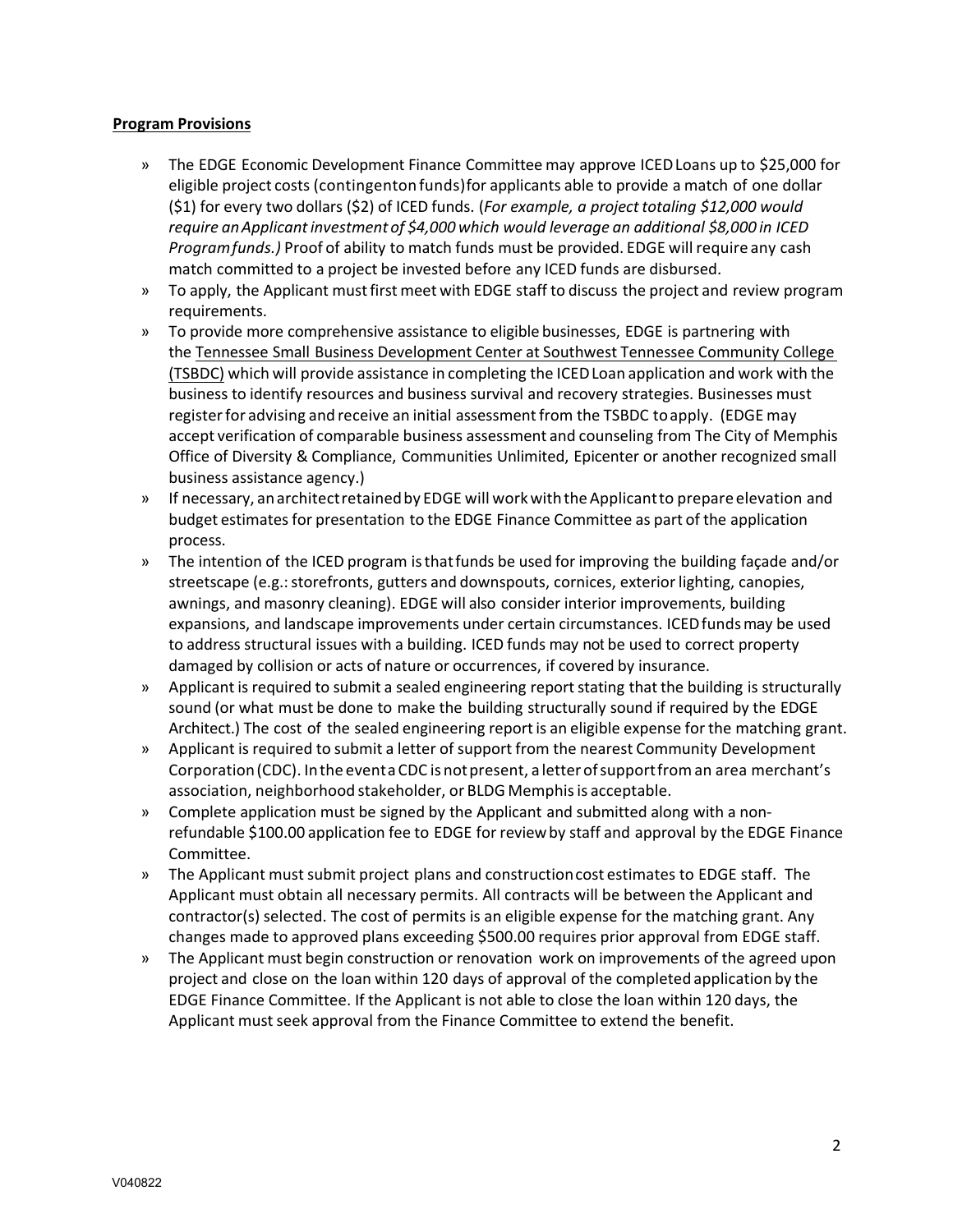#### **Program Provisions**

- » The EDGE Economic Development Finance Committee may approve ICEDLoans up to \$25,000 for eligible project costs (contingentonfunds)for applicants able to provide a match of one dollar (\$1) for every two dollars (\$2) of ICED funds. (*For example, a project totaling \$12,000 would require anApplicantinvestment of \$4,000 which would leverage an additional \$8,000 in ICED Programfunds.)* Proof of ability to match funds must be provided. EDGE will require any cash match committed to a project be invested before any ICED funds are disbursed.
- » To apply, the Applicant mustfirst meet with EDGE staff to discuss the project and review program requirements.
- » To provide more comprehensive assistance to eligible businesses, EDGE is partnering with the Tennessee Small [Business Development Center at Southwest Tennessee Community College](https://www.tsbdc.org/swtcc/) [\(TSBDC\)](https://www.tsbdc.org/swtcc/) which will provide assistance in completing the ICEDLoan application and work with the business to identify resources and business survival and recovery strategies. Businesses must registerfor advising and receive an initial assessmentfrom the TSBDC toapply. (EDGE may accept verification of comparable business assessment and counseling from The City of Memphis Office of Diversity & Compliance, Communities Unlimited, Epicenter or another recognized small business assistance agency.)
- » If necessary, anarchitectretainedby EDGE will workwiththeApplicantto prepare elevation and budget estimates for presentation to the EDGE Finance Committee as part of the application process.
- » The intention of the ICED program isthatfunds be used for improving the building façade and/or streetscape (e.g.: storefronts, gutters and downspouts, cornices, exterior lighting, canopies, awnings, and masonry cleaning). EDGE will also consider interior improvements, building expansions, and landscape improvements under certain circumstances. ICEDfunds may be used to address structural issues with a building. ICED funds may not be used to correct property damaged by collision or acts of nature or occurrences, if covered by insurance.
- » Applicant is required to submit a sealed engineering reportstating that the building is structurally sound (or what must be done to make the building structurally sound if required by the EDGE Architect.) The cost of the sealed engineering reportis an eligible expense for the matching grant.
- » Applicant is required to submit a letter of support from the nearest Community Development Corporation (CDC). In the eventa CDC is not present, a letter of support from an area merchant's association, neighborhood stakeholder, or BLDG Memphis is acceptable.
- » Complete application must be signed by the Applicant and submitted along with a nonrefundable \$100.00 application fee to EDGE for reviewby staff and approval by the EDGE Finance Committee.
- » The Applicant mustsubmit project plans and constructioncost estimates to EDGE staff. The Applicant must obtain all necessary permits. All contracts will be between the Applicant and contractor(s) selected. The cost of permits is an eligible expense for the matching grant. Any changes made to approved plans exceeding \$500.00 requires prior approval from EDGE staff.
- » The Applicant must begin construction or renovation work on improvements of the agreed upon project and close on the loan within 120 days of approval of the completed application by the EDGE Finance Committee. If the Applicant is not able to close the loan within 120 days, the Applicant must seek approval from the Finance Committee to extend the benefit.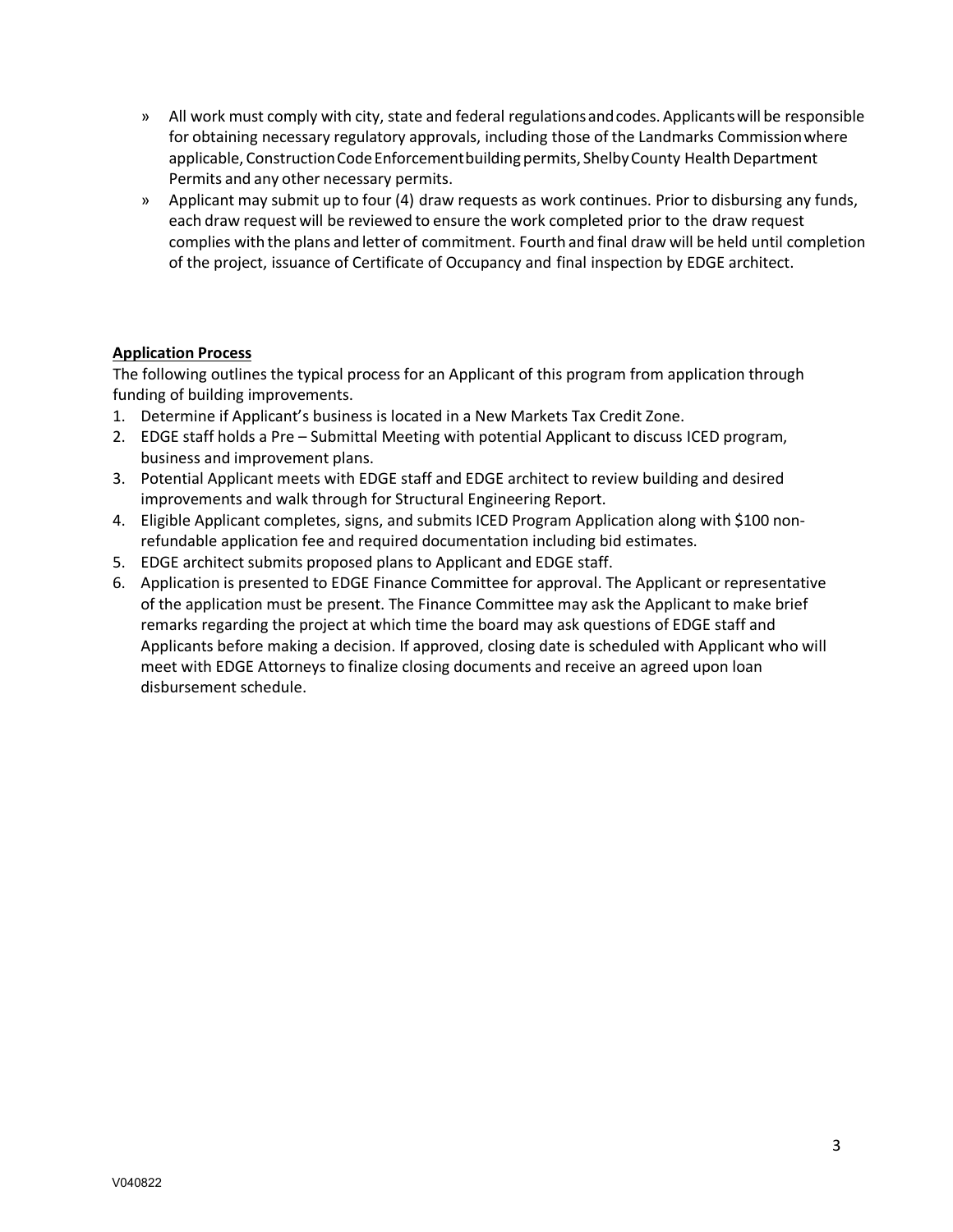- » All work must comply with city, state and federal regulationsandcodes.Applicantswill be responsible for obtaining necessary regulatory approvals, including those of the Landmarks Commissionwhere applicable, Construction Code Enforcement building permits, Shelby County Health Department Permits and any other necessary permits.
- » Applicant may submit up to four (4) draw requests as work continues. Prior to disbursing any funds, each draw request will be reviewed to ensure the work completed prior to the draw request complies with the plans and letter of commitment. Fourth and final draw will be held until completion of the project, issuance of Certificate of Occupancy and final inspection by EDGE architect.

#### **Application Process**

The following outlines the typical process for an Applicant of this program from application through funding of building improvements.

- 1. Determine if Applicant's business is located in a New Markets Tax Credit Zone.
- 2. EDGE staff holds a Pre Submittal Meeting with potential Applicant to discuss ICED program, business and improvement plans.
- 3. Potential Applicant meets with EDGE staff and EDGE architect to review building and desired improvements and walk through for Structural Engineering Report.
- 4. Eligible Applicant completes, signs, and submits ICED Program Application along with \$100 nonrefundable application fee and required documentation including bid estimates.
- 5. EDGE architect submits proposed plans to Applicant and EDGE staff.
- 6. Application is presented to EDGE Finance Committee for approval. The Applicant or representative of the application must be present. The Finance Committee may ask the Applicant to make brief remarks regarding the project at which time the board may ask questions of EDGE staff and Applicants before making a decision. If approved, closing date is scheduled with Applicant who will meet with EDGE Attorneys to finalize closing documents and receive an agreed upon loan disbursement schedule.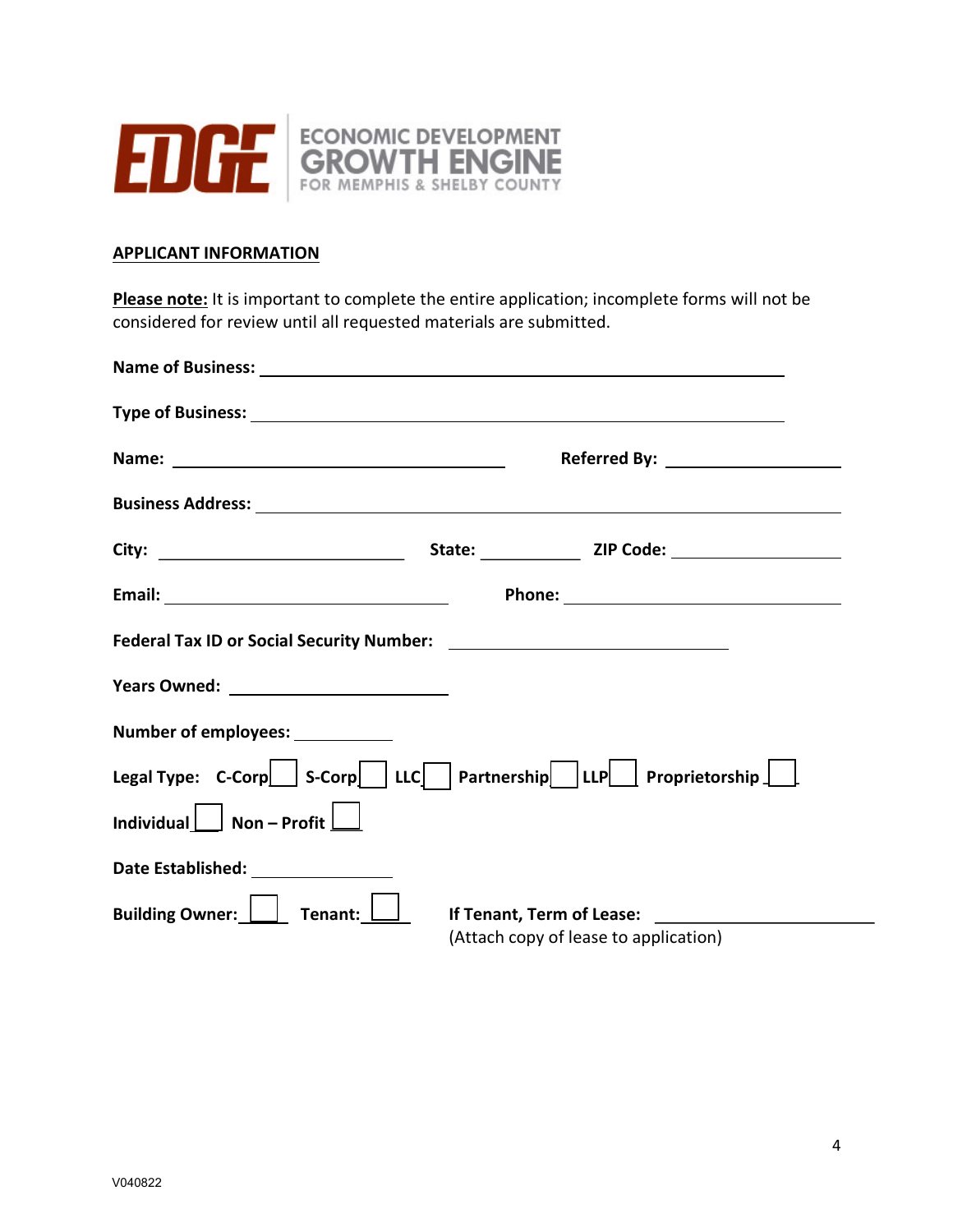

### **APPLICANT INFORMATION**

**Please note:** It is important to complete the entire application; incomplete forms will not be considered for review until all requested materials are submitted.

|                                                                                                                                                                                                                                      | Referred By: ____________________     |
|--------------------------------------------------------------------------------------------------------------------------------------------------------------------------------------------------------------------------------------|---------------------------------------|
| <b>Business Address: Universe and Address Address Address Address Address Address Address Address Address Address Address Address Address Address Address Address Address Address Address Address Address Address Address Addres</b> |                                       |
|                                                                                                                                                                                                                                      |                                       |
|                                                                                                                                                                                                                                      |                                       |
|                                                                                                                                                                                                                                      |                                       |
| <b>Years Owned:</b> ______________________________                                                                                                                                                                                   |                                       |
| Number of employees: ___________                                                                                                                                                                                                     |                                       |
| Legal Type: C-Corp   S-Corp   LLC   Partnership   LLP   Proprietorship                                                                                                                                                               |                                       |
| Individual $\Box$ Non - Profit $\Box$                                                                                                                                                                                                |                                       |
| Date Established: _________________                                                                                                                                                                                                  |                                       |
| Building Owner:     Tenant:                                                                                                                                                                                                          | If Tenant, Term of Lease: _______     |
|                                                                                                                                                                                                                                      | (Attach copy of lease to application) |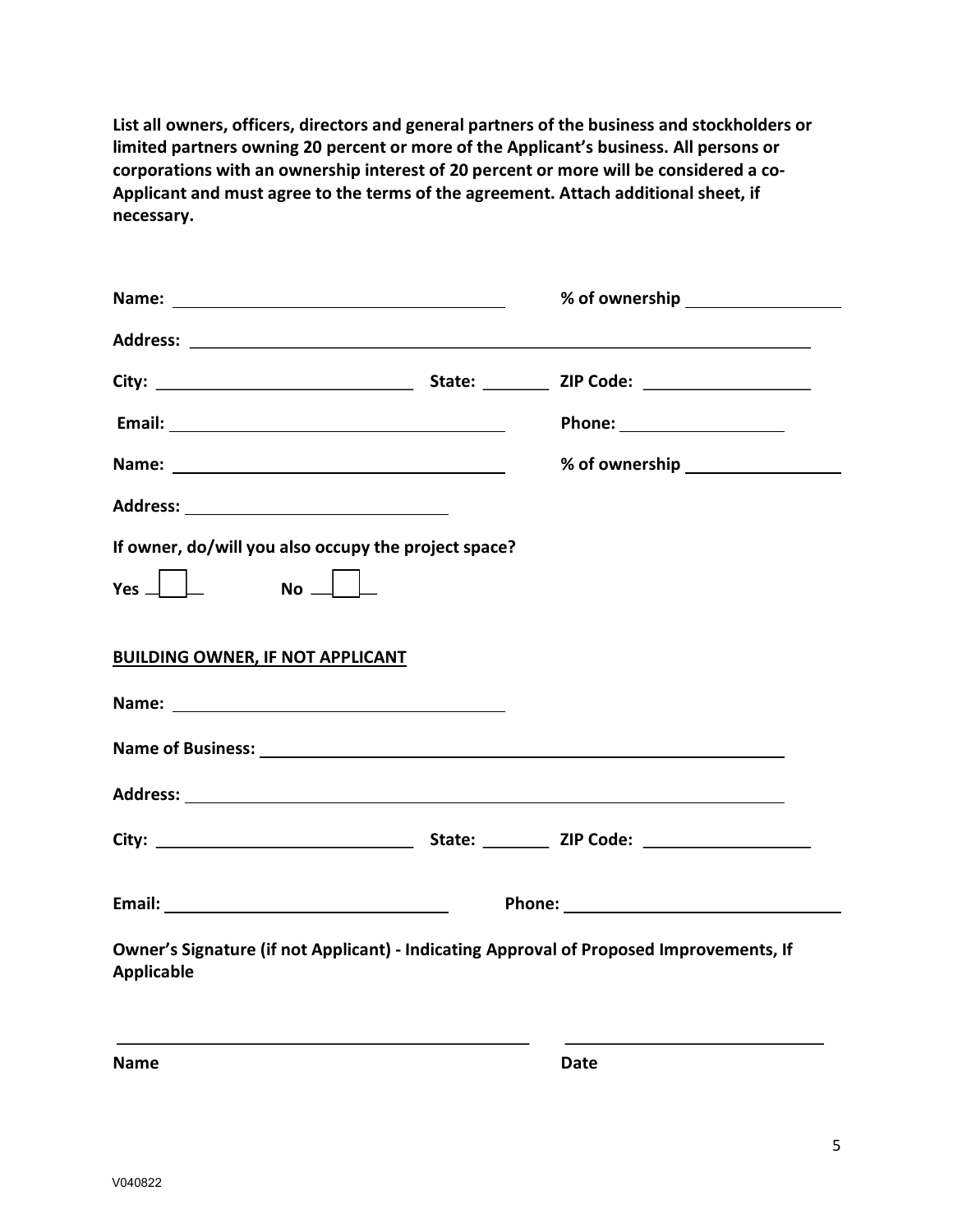**List all owners, officers, directors and general partners of the business and stockholders or limited partners owning 20 percent or more of the Applicant's business. All persons or corporations with an ownership interest of 20 percent or more will be considered a co-Applicant and must agree to the terms of the agreement. Attach additional sheet, if necessary.**

| Name: Name and the second state of the second state of the second state of the second state of the second state of the second state of the second state of the second state of the second state of the second state of the sec |                                                                                                                                                                                                                                      |      |  |  |  |
|--------------------------------------------------------------------------------------------------------------------------------------------------------------------------------------------------------------------------------|--------------------------------------------------------------------------------------------------------------------------------------------------------------------------------------------------------------------------------------|------|--|--|--|
|                                                                                                                                                                                                                                |                                                                                                                                                                                                                                      |      |  |  |  |
|                                                                                                                                                                                                                                |                                                                                                                                                                                                                                      |      |  |  |  |
|                                                                                                                                                                                                                                |                                                                                                                                                                                                                                      |      |  |  |  |
|                                                                                                                                                                                                                                |                                                                                                                                                                                                                                      |      |  |  |  |
|                                                                                                                                                                                                                                |                                                                                                                                                                                                                                      |      |  |  |  |
| If owner, do/will you also occupy the project space?                                                                                                                                                                           |                                                                                                                                                                                                                                      |      |  |  |  |
| $\begin{array}{c} \begin{array}{c} \end{array} \end{array}$<br>$Yes_$<br>$\mathsf{No} \perp$                                                                                                                                   |                                                                                                                                                                                                                                      |      |  |  |  |
| <b>BUILDING OWNER, IF NOT APPLICANT</b>                                                                                                                                                                                        |                                                                                                                                                                                                                                      |      |  |  |  |
|                                                                                                                                                                                                                                |                                                                                                                                                                                                                                      |      |  |  |  |
|                                                                                                                                                                                                                                |                                                                                                                                                                                                                                      |      |  |  |  |
|                                                                                                                                                                                                                                |                                                                                                                                                                                                                                      |      |  |  |  |
|                                                                                                                                                                                                                                |                                                                                                                                                                                                                                      |      |  |  |  |
|                                                                                                                                                                                                                                | Phone: <u>with the contract of the contract of the contract of the contract of the contract of the contract of the contract of the contract of the contract of the contract of the contract of the contract of the contract of t</u> |      |  |  |  |
| Owner's Signature (if not Applicant) - Indicating Approval of Proposed Improvements, If<br><b>Applicable</b>                                                                                                                   |                                                                                                                                                                                                                                      |      |  |  |  |
| <b>Name</b>                                                                                                                                                                                                                    |                                                                                                                                                                                                                                      | Date |  |  |  |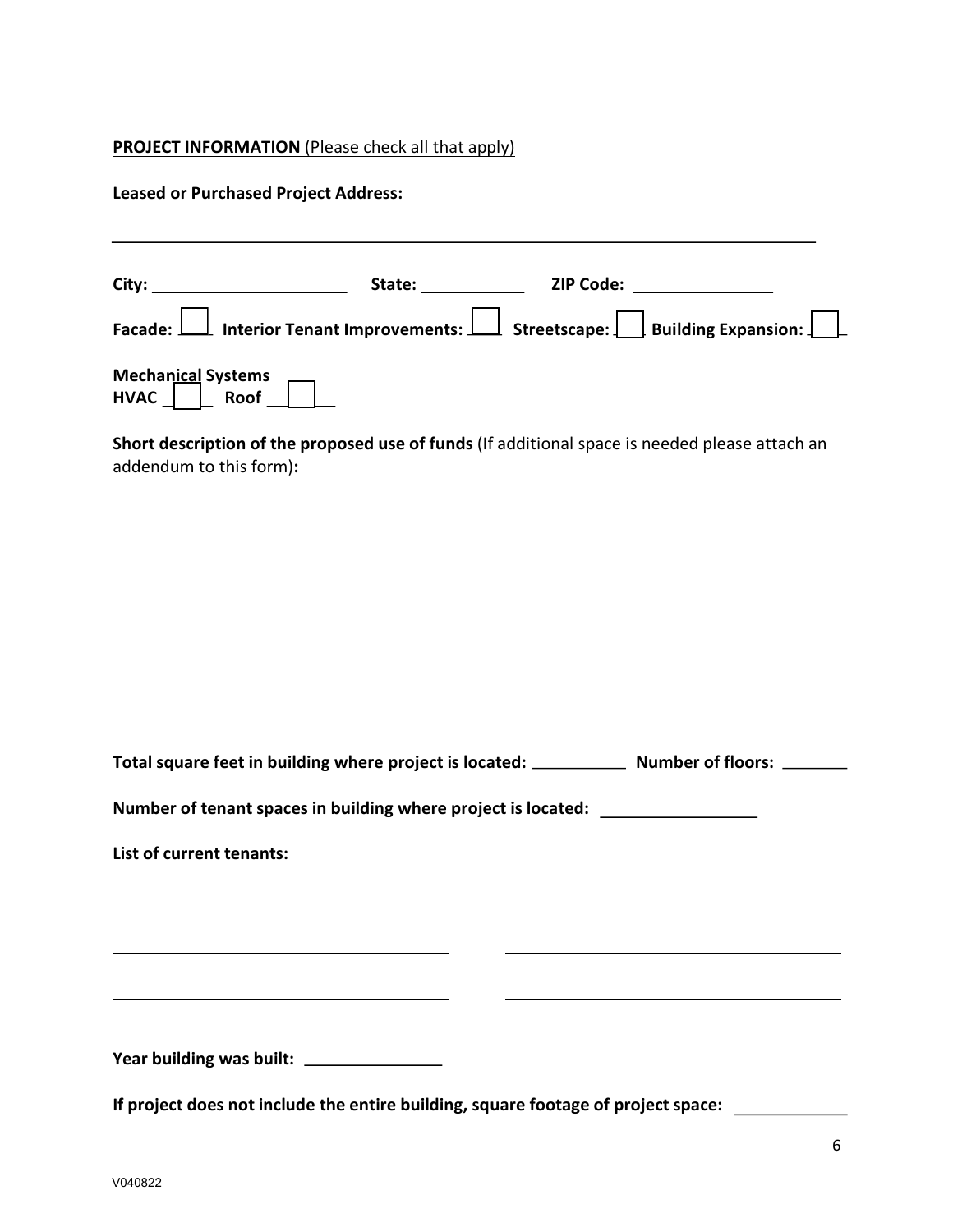## **PROJECT INFORMATION** (Please check all that apply)

#### **Leased or Purchased Project Address:**

| <b>City: City: City: City:</b>  | State: the state of the state of the state of the state of the state of the state of the state of the state of the state of the state of the state of the state of the state of the state of the state of the state of the sta | <b>ZIP Code: Example 2</b>                                                                  |
|---------------------------------|--------------------------------------------------------------------------------------------------------------------------------------------------------------------------------------------------------------------------------|---------------------------------------------------------------------------------------------|
|                                 |                                                                                                                                                                                                                                | Facade: $\Box$ Interior Tenant Improvements: $\Box$ Streetscape: Building Expansion: $\Box$ |
| Mechanical Systems<br>HVAC Roof |                                                                                                                                                                                                                                |                                                                                             |

**Short description of the proposed use of funds** (If additional space is needed please attach an addendum to this form)**:** 

| Total square feet in building where project is located: | <b>Number of floors:</b> |
|---------------------------------------------------------|--------------------------|
|                                                         |                          |

**Number of tenant spaces in building where project is located:** 

**List of current tenants:** 

**Year building was built:** 

**If project does not include the entire building, square footage of project space:**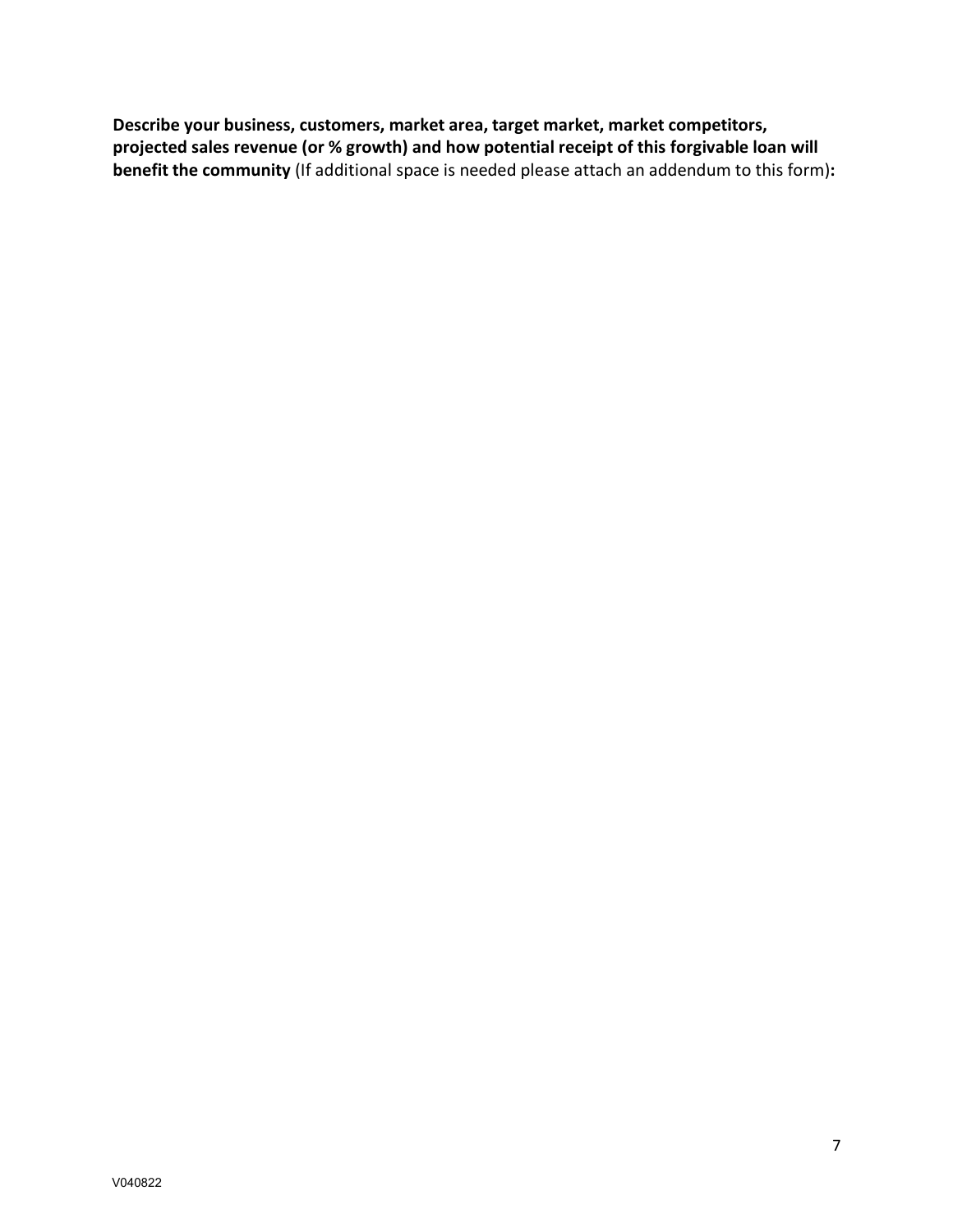**Describe your business, customers, market area, target market, market competitors, projected sales revenue (or % growth) and how potential receipt of this forgivable loan will benefit the community** (If additional space is needed please attach an addendum to this form)**:**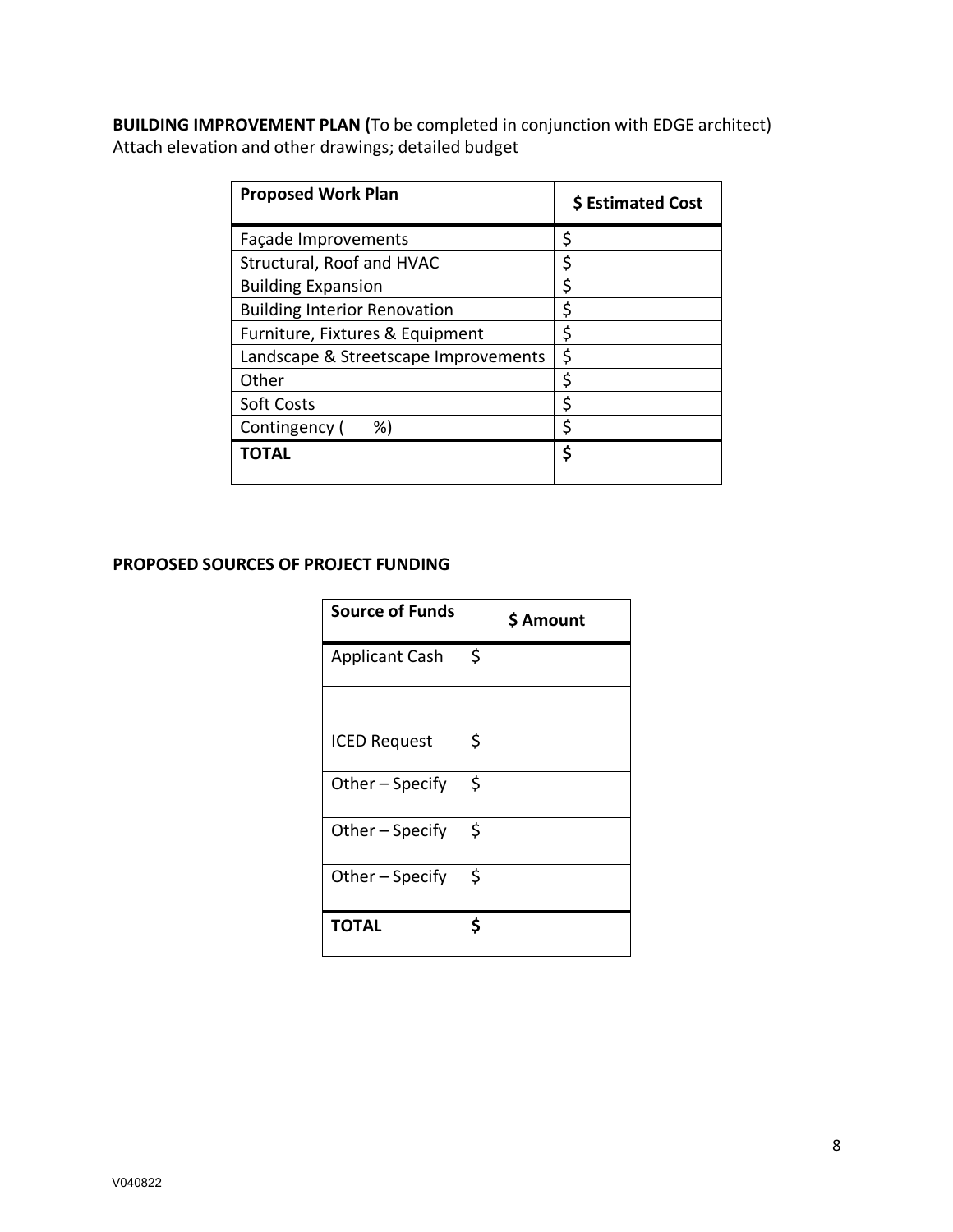**BUILDING IMPROVEMENT PLAN (**To be completed in conjunction with EDGE architect) Attach elevation and other drawings; detailed budget

| <b>Proposed Work Plan</b>            | \$ Estimated Cost |
|--------------------------------------|-------------------|
| Façade Improvements                  | \$                |
| Structural, Roof and HVAC            | \$                |
| <b>Building Expansion</b>            | Ś                 |
| <b>Building Interior Renovation</b>  | \$                |
| Furniture, Fixtures & Equipment      | \$                |
| Landscape & Streetscape Improvements | \$                |
| Other                                | \$                |
| <b>Soft Costs</b>                    | \$                |
| Contingency (<br>%)                  | ς                 |
| <b>TOTAL</b>                         | \$                |

### **PROPOSED SOURCES OF PROJECT FUNDING**

| <b>Source of Funds</b> | \$ Amount |
|------------------------|-----------|
| <b>Applicant Cash</b>  | \$        |
|                        |           |
| <b>ICED Request</b>    | \$        |
| Other - Specify        | \$        |
| Other - Specify        | \$        |
| Other - Specify        | \$        |
| <b>TOTAL</b>           | \$        |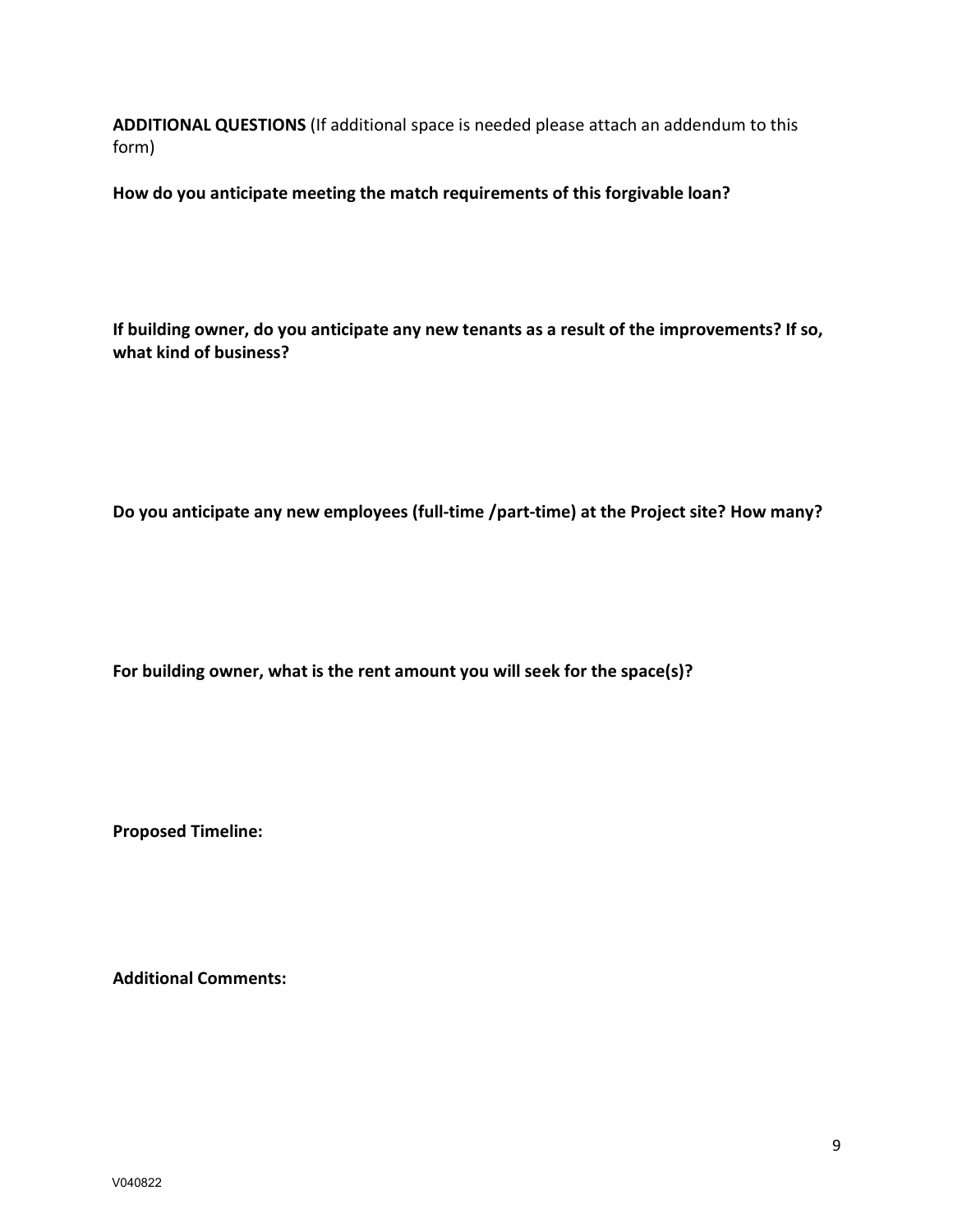**ADDITIONAL QUESTIONS** (If additional space is needed please attach an addendum to this form)

**How do you anticipate meeting the match requirements of this forgivable loan?**

**If building owner, do you anticipate any new tenants as a result of the improvements? If so, what kind of business?**

**Do you anticipate any new employees (full-time /part-time) at the Project site? How many?**

**For building owner, what is the rent amount you will seek for the space(s)?** 

**Proposed Timeline:**

**Additional Comments:**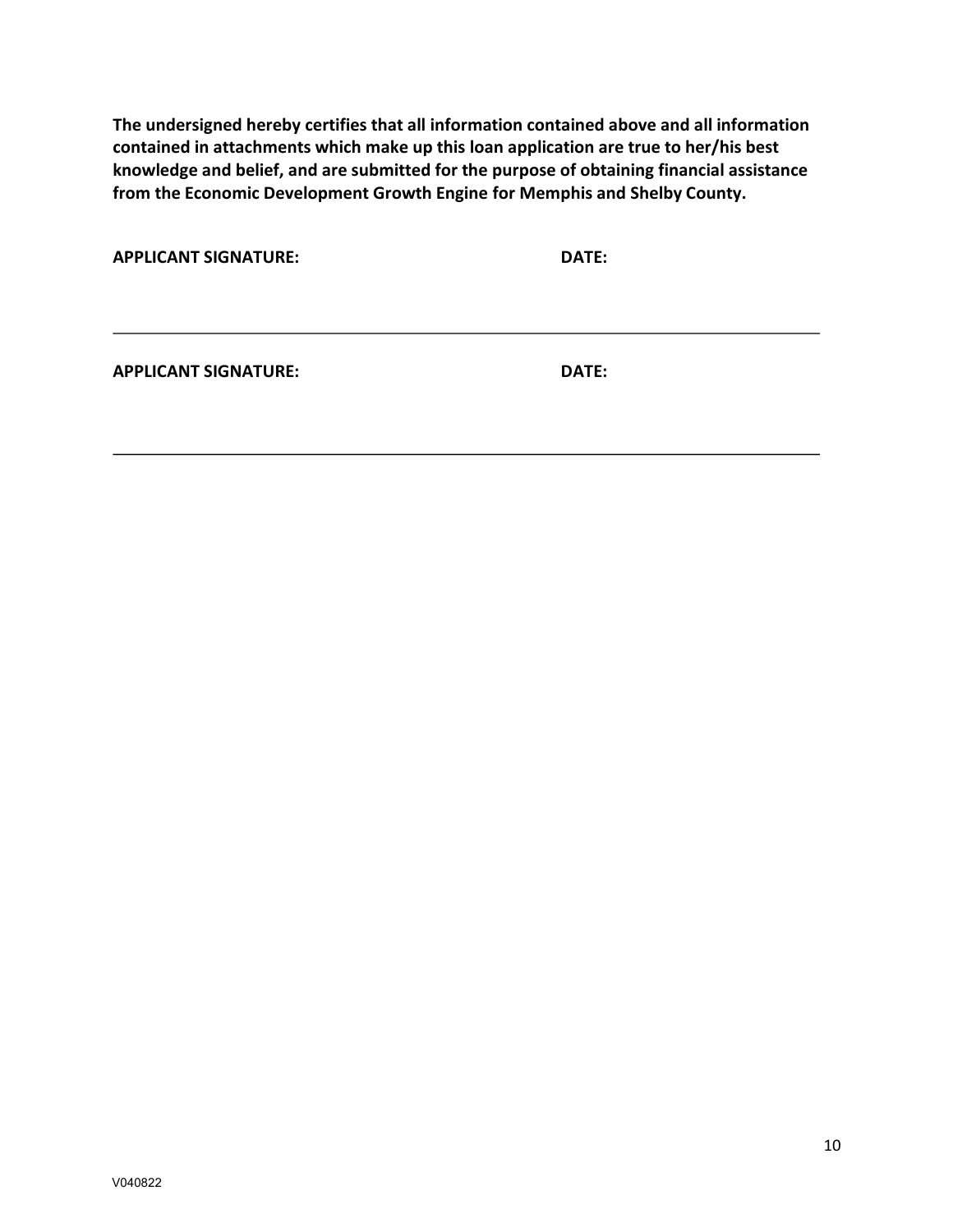**The undersigned hereby certifies that all information contained above and all information contained in attachments which make up this loan application are true to her/his best knowledge and belief, and are submitted for the purpose of obtaining financial assistance from the Economic Development Growth Engine for Memphis and Shelby County.** 

| <b>APPLICANT SIGNATURE:</b> | DATE: |
|-----------------------------|-------|
|                             |       |

**APPLICANT SIGNATURE: DATE:**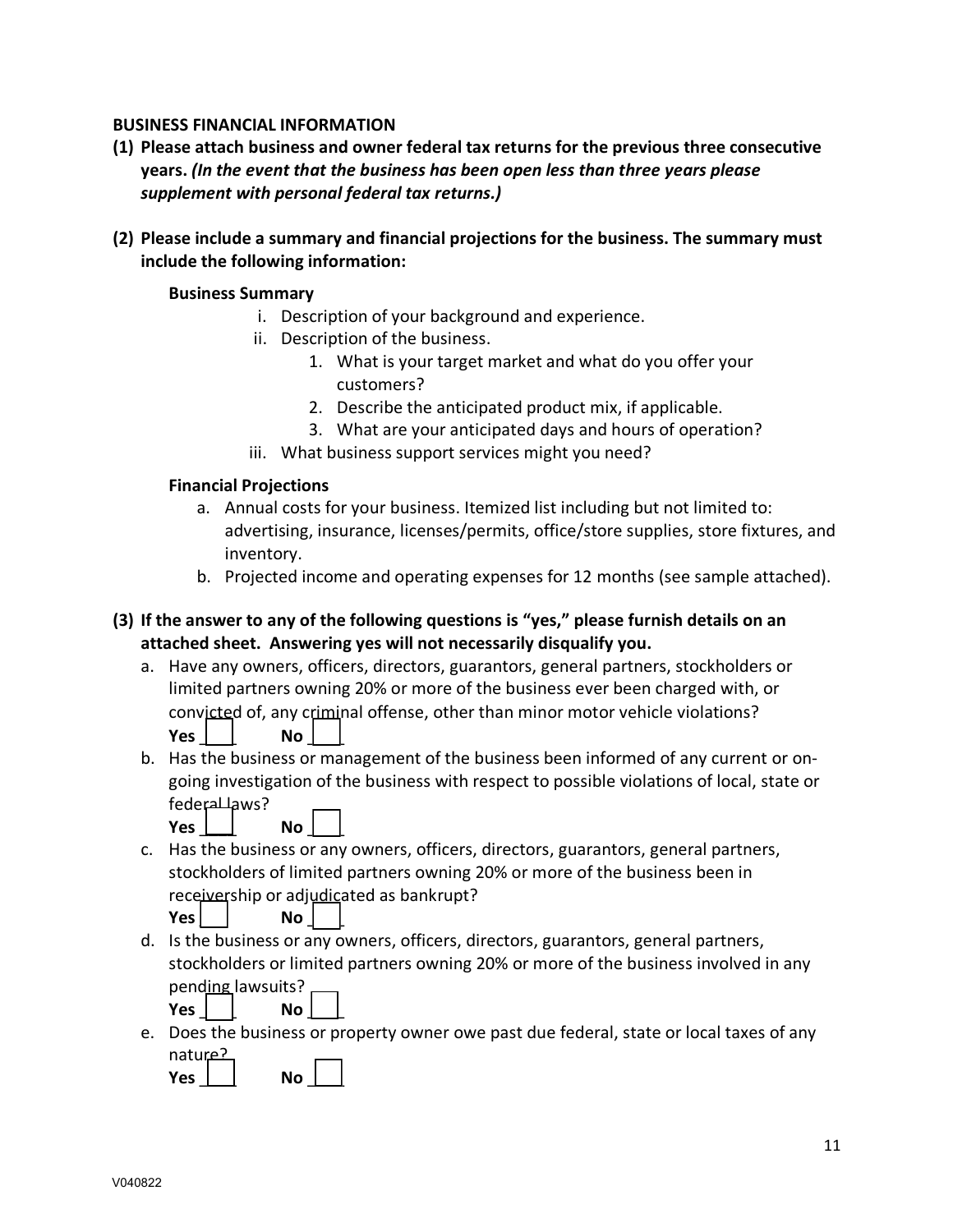# **BUSINESS FINANCIAL INFORMATION**

- **(1) Please attach business and owner federal tax returns for the previous three consecutive years.** *(In the event that the business has been open less than three years please supplement with personal federal tax returns.)*
- **(2) Please include a summary and financial projections for the business. The summary must include the following information:**

### **Business Summary**

- i. Description of your background and experience.
- ii. Description of the business.
	- 1. What is your target market and what do you offer your customers?
	- 2. Describe the anticipated product mix, if applicable.
	- 3. What are your anticipated days and hours of operation?
- iii. What business support services might you need?

# **Financial Projections**

- a. Annual costs for your business. Itemized list including but not limited to: advertising, insurance, licenses/permits, office/store supplies, store fixtures, and inventory.
- b. Projected income and operating expenses for 12 months (see sample attached).
- **(3) If the answer to any of the following questions is "yes," please furnish details on an attached sheet. Answering yes will not necessarily disqualify you.**
	- a. Have any owners, officers, directors, guarantors, general partners, stockholders or limited partners owning 20% or more of the business ever been charged with, or convicted of, any criminal offense, other than minor motor vehicle violations? **Yes**  $\vert$  **No**  $\vert$
	- b. Has the business or management of the business been informed of any current or ongoing investigation of the business with respect to possible violations of local, state or federal laws?

**Yes**  $\boxed{\phantom{0}}$  **No**  $\boxed{\phantom{0}}$ 

c. Has the business or any owners, officers, directors, guarantors, general partners, stockholders of limited partners owning 20% or more of the business been in receivership or adjudicated as bankrupt?

**Yes 1 No** 1

d. Is the business or any owners, officers, directors, guarantors, general partners, stockholders or limited partners owning 20% or more of the business involved in any pending lawsuits?

**Yes** | | No |

e. Does the business or property owner owe past due federal, state or local taxes of any nature?

**Yes**  $\begin{array}{|c|c|c|c|c|} \hline \end{array}$  **No**  $\begin{array}{|c|c|c|} \hline \end{array}$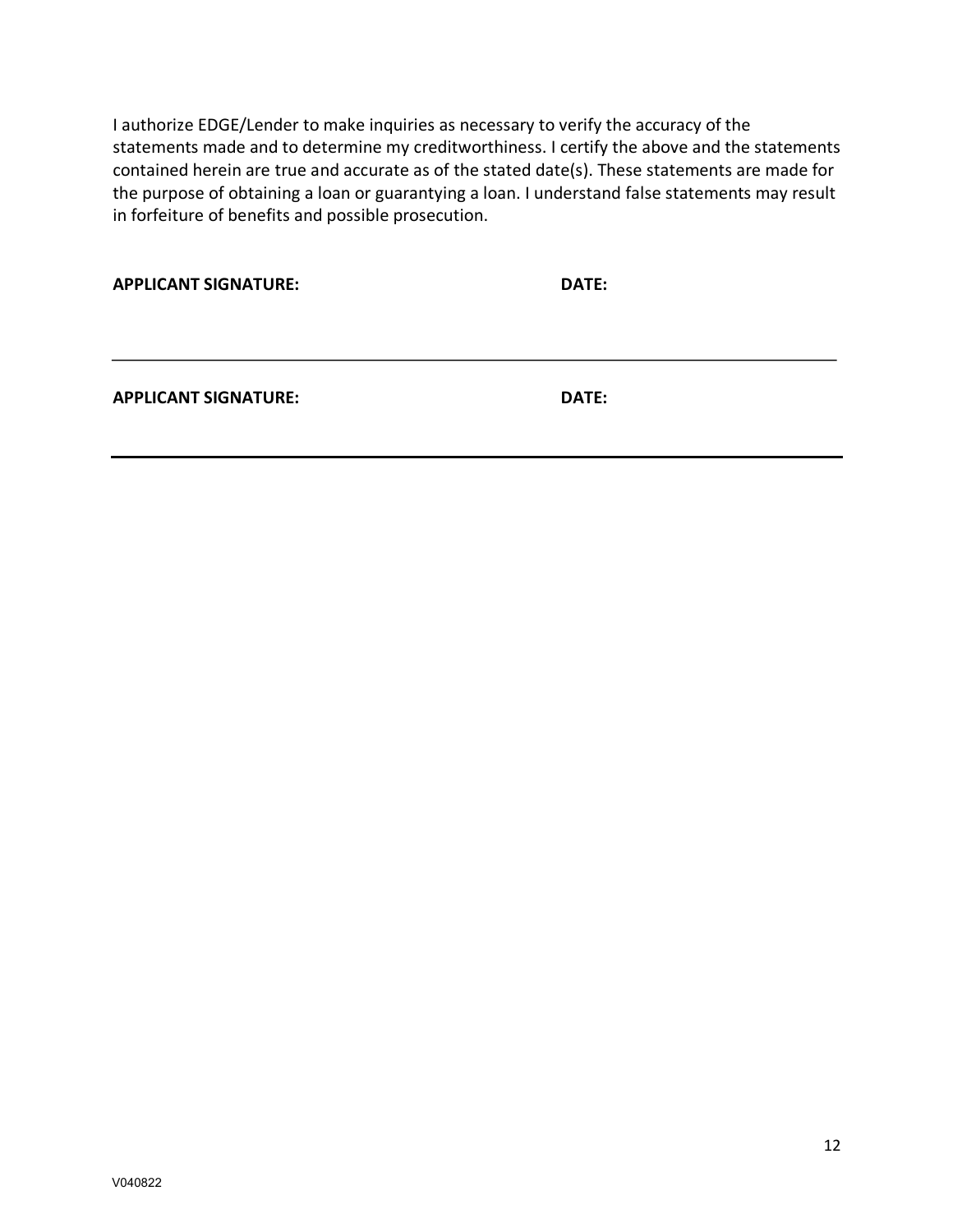I authorize EDGE/Lender to make inquiries as necessary to verify the accuracy of the statements made and to determine my creditworthiness. I certify the above and the statements contained herein are true and accurate as of the stated date(s). These statements are made for the purpose of obtaining a loan or guarantying a loan. I understand false statements may result in forfeiture of benefits and possible prosecution.

| <b>APPLICANT SIGNATURE:</b> | DATE: |
|-----------------------------|-------|
| <b>APPLICANT SIGNATURE:</b> | DATE: |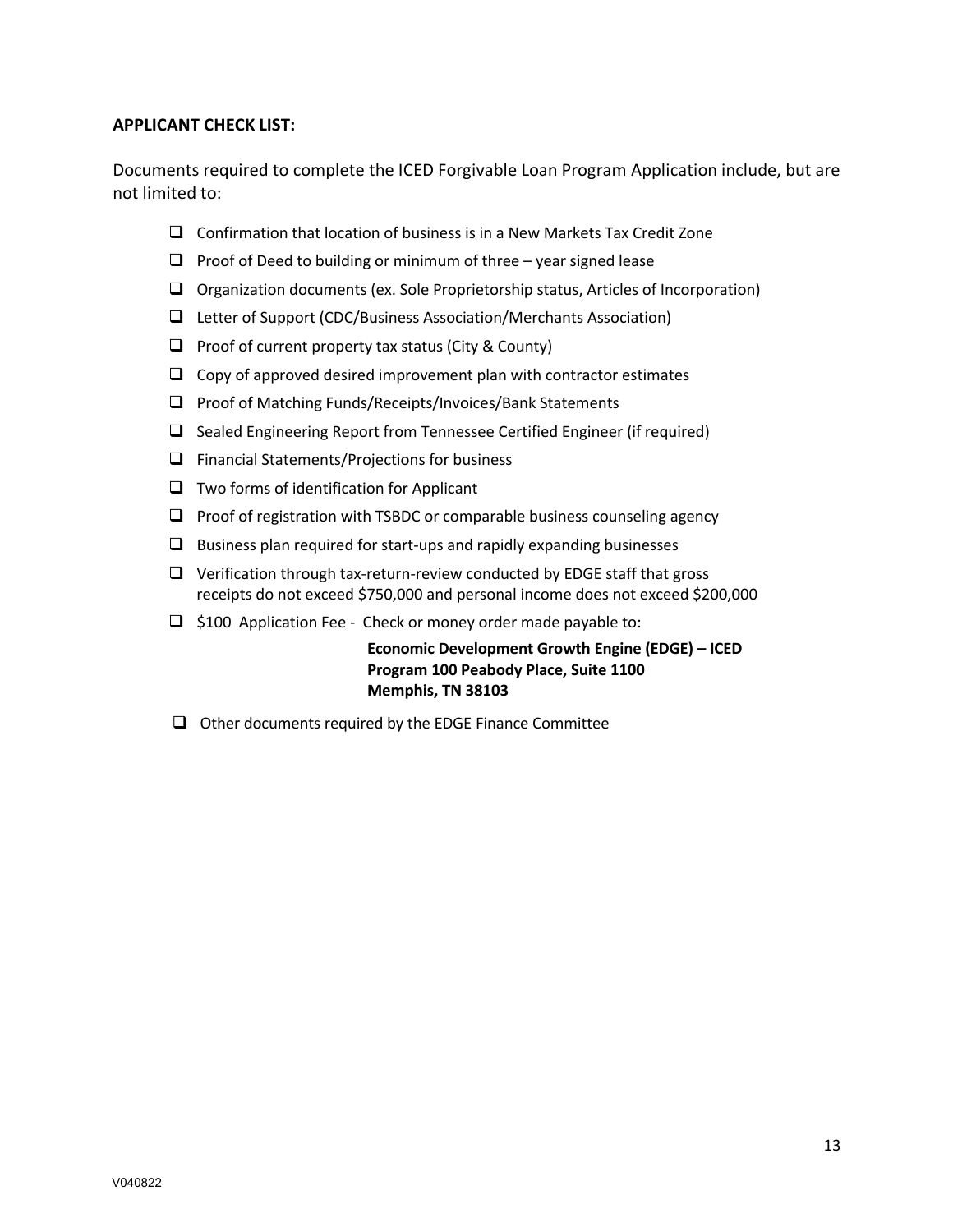## **APPLICANT CHECK LIST:**

Documents required to complete the ICED Forgivable Loan Program Application include, but are not limited to:

- $\Box$  Confirmation that location of business is in a New Markets Tax Credit Zone
- $\Box$  Proof of Deed to building or minimum of three year signed lease
- $\Box$  Organization documents (ex. Sole Proprietorship status, Articles of Incorporation)
- $\Box$  Letter of Support (CDC/Business Association/Merchants Association)
- $\Box$  Proof of current property tax status (City & County)
- $\Box$  Copy of approved desired improvement plan with contractor estimates
- $\Box$  Proof of Matching Funds/Receipts/Invoices/Bank Statements
- $\Box$  Sealed Engineering Report from Tennessee Certified Engineer (if required)
- $\Box$  Financial Statements/Projections for business
- $\Box$  Two forms of identification for Applicant
- $\Box$  Proof of registration with TSBDC or comparable business counseling agency
- $\Box$  Business plan required for start-ups and rapidly expanding businesses
- $\Box$  Verification through tax-return-review conducted by EDGE staff that gross receipts do not exceed \$750,000 and personal income does not exceed \$200,000
- $\Box$  \$100 Application Fee Check or money order made payable to:

**Economic Development Growth Engine (EDGE) – ICED Program 100 Peabody Place, Suite 1100 Memphis, TN 38103** 

 $\Box$  Other documents required by the EDGE Finance Committee